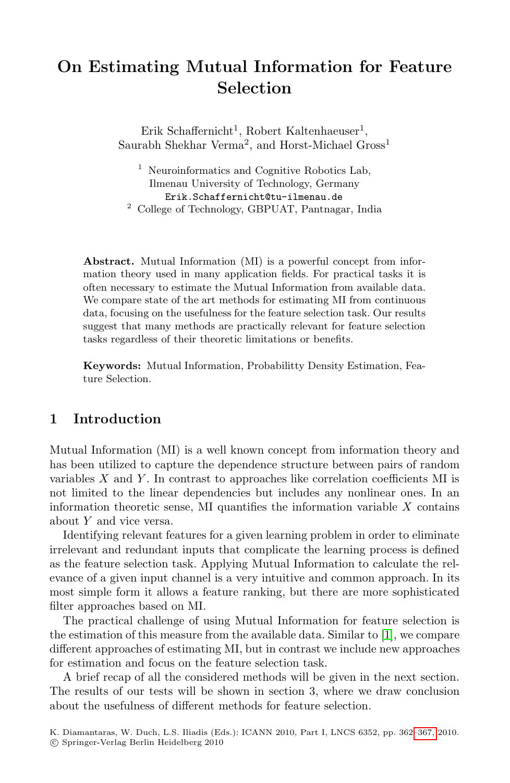# **On Estimating Mutual Information for Feature Selection**

Erik Schaffernicht<sup>1</sup>, Robert Kaltenhaeuser<sup>1</sup>, Saurabh Shekhar Verma<sup>2</sup>, and Horst-Michael Gross<sup>1</sup>

<sup>1</sup> Neuroinformatics and Cognitive Robotics Lab, Ilmenau University of Technology, Germany Erik.Schaffernicht@tu-ilmenau.de <sup>2</sup> College of Technology, GBPUAT, Pantnagar, India

**Abstract.** Mutual Information (MI) is a powerful concept from information theory used in many application fields. For practical tasks it is often necessary to estimate the Mutual Information from available data. We compare state of the art methods for estimating MI from continuous data, focusing on the usefulness for the feature selection task. Our results suggest that many methods are practically relevant for feature selection tasks regardless of their theoretic limitations or benefits.

**Keywords:** Mutual Information, Probabilitty Density Estimation, Feature Selection.

# **1 Introduction**

Mutual Information (MI) is a well known concept from information theory and has been utilized to capture the dependence structure between pairs of random variables X and Y . In contrast to approaches like correlation coefficients MI is not limited to the linear dependencies but includes any nonlinear ones. In an information theoretic sense, MI quantifies the information variable  $X$  contains about Y and vice versa.

Identifying relevant features for a given learning problem in order to eliminate irrelevant and redundant inputs that complicate the learning process is defined as the feature selection task. Applying Mutual Information to calculate the relevance of a given input channel is a very intuitive and common approach. In its most simple form it allows a feature ranking, but there are more sophisticated filter approaches based on MI.

The practical challenge of using Mutual Inform[ation](#page-5-0) for feature selection is the estimation of this measure from the available data. Similar to [1], we compare different approaches of estimating MI, but in contrast we include new approaches for estimation and focus on the feature selection task.

A brief recap of all the considered methods will be given in the next section. The results of our tests will be shown in section 3, where we draw conclusion about the usefulness of different methods for feature selection.

K. Diamantaras, W. Duch, L.S. Iliadis (Eds.): ICANN 2010, Part I, LNCS 6352, pp. 362–367, 2010. -c Springer-Verlag Berlin Heidelberg 2010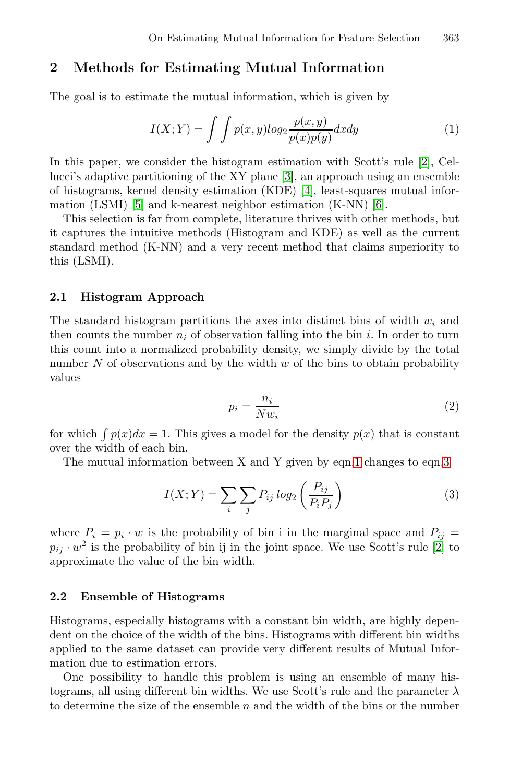# **2 Methods for Estimating Mutual Information**

The goal is to estimate the mutual information, which is given by

$$
I(X;Y) = \int \int p(x,y) \log_2 \frac{p(x,y)}{p(x)p(y)} dx dy
$$
 (1)

In this paper, we consider the histogram estimation with Scott's rule [2], Cellucci's adaptive partitioning of the XY plane [3], an approach using an ensemble of histograms, kernel density estimation (KDE) [4], least-squares mutual information (LSMI) [5] and k-nearest neighbor estimation (K-NN) [6].

This selection is far from complete, literature thrives with other methods, but it captures the intuitive methods (Histogram and KDE) as well as the current standard method (K-NN) and a very recent method that claims superiority to this (LSMI).

#### **2.1 Histogram Approach**

The standard histogram partitions the axes into distinct bins of width  $w_i$  and then counts the number  $n_i$  of observation falling into the bin i. In order to turn this count into a normalized probability density, we simply divide by the total number  $N$  of observations and by the width  $w$  of the bins to obtain probability values

$$
p_i = \frac{n_i}{N w_i} \tag{2}
$$

for which  $\int p(x)dx = 1$ . This gives a model for the density  $p(x)$  that is constant over the width of each bin.

The mutual information between X and Y given by eqn.1 changes to eqn.3

$$
I(X;Y) = \sum_{i} \sum_{j} P_{ij} \log_2 \left(\frac{P_{ij}}{P_i P_j}\right) \tag{3}
$$

where  $P_i = p_i \cdot w$  is the probability of bin i in the marginal space and  $P_{ij} =$  $p_{ij} \cdot w^2$  is the probability of bin ij in the joint space. We use Scott's rule [2] to approximate the value of the bin width.

## **2.2 Ensemble of Histograms**

Histograms, especially histograms with a constant bin width, are highly dependent on the choice of the width of the bins. Histograms with different bin widths applied to the same dataset can provide very different results of Mutual Information due to estimation errors.

One possibility to handle this problem is using an ensemble of many histograms, all using different bin widths. We use Scott's rule and the parameter  $\lambda$ to determine the size of the ensemble  $n$  and the width of the bins or the number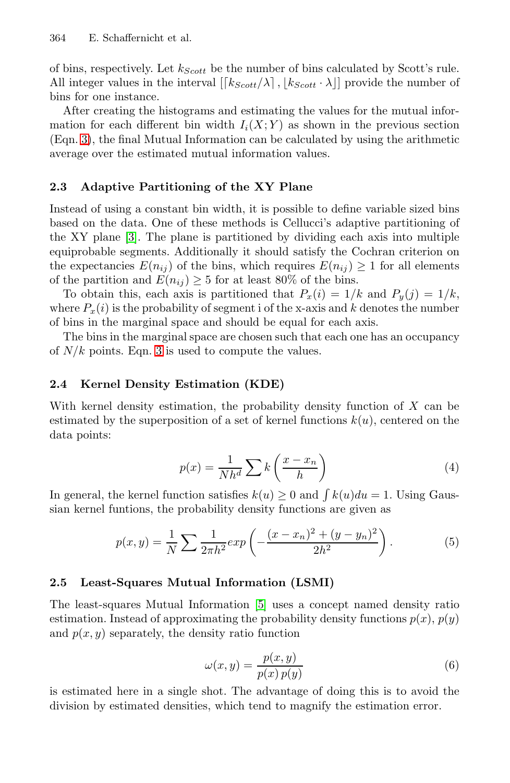364 E. Schaffernicht et al.

of bins, respectively. Let  $k_{Scott}$  be the number of bins calculated by Scott's rule. All integer values in the interval  $[[k_{Scott}/\lambda]$ ,  $[k_{Scott} \cdot \lambda]]$  provide the number of bins for one instance.

After creating the histograms and estimating the values for the mutual information for each different bin width  $I_i(X; Y)$  as shown in the previous section (Eqn. 3), the final Mutual Information can be calculated by using the arithmetic average over the estimated mutual information values.

#### **2.3 Adaptive Partitioning of the XY Plane**

Instead of using a constant bin width, it is possible to define variable sized bins based on the data. One of these methods is Cellucci's adaptive partitioning of the XY plane [3]. The plane is partitioned by dividing each axis into multiple equiprobable segments. Additionally it should satisfy the Cochran criterion on the expectancies  $E(n_{ij})$  of the bins, which requires  $E(n_{ij}) \geq 1$  for all elements of the partition and  $E(n_{ij}) \geq 5$  for at least 80% of the bins.

To obtain this, each axis is partitioned that  $P_x(i)=1/k$  and  $P_y(j)=1/k$ , where  $P_x(i)$  is the probability of segment i of the x-axis and k denotes the number of bins in the marginal space and should be equal for each axis.

The bins in the marginal space are chosen such that each one has an occupancy of  $N/k$  points. Eqn. 3 is used to compute the values.

#### **2.4 Kernel Density Estimation (KDE)**

With kernel density estimation, the probability density function of  $X$  can be estimated by the superposition of a set of kernel functions  $k(u)$ , centered on the data points:

$$
p(x) = \frac{1}{Nh^d} \sum k\left(\frac{x - x_n}{h}\right) \tag{4}
$$

In general, the kernel function satisfies  $k(u) \geq 0$  and  $\int k(u)du = 1$ . Using Gaussian kernel funtions, the probability density functions are given as

$$
p(x,y) = \frac{1}{N} \sum \frac{1}{2\pi h^2} exp\left(-\frac{(x-x_n)^2 + (y-y_n)^2}{2h^2}\right).
$$
 (5)

### **2.5 Least-Squares Mutual Information (LSMI)**

The least-squares Mutual Information [5] uses a concept named density ratio estimation. Instead of approximating the probability density functions  $p(x)$ ,  $p(y)$ and  $p(x, y)$  separately, the density ratio function

$$
\omega(x,y) = \frac{p(x,y)}{p(x)p(y)}\tag{6}
$$

is estimated here in a single shot. The advantage of doing this is to avoid the division by estimated densities, which tend to magnify the estimation error.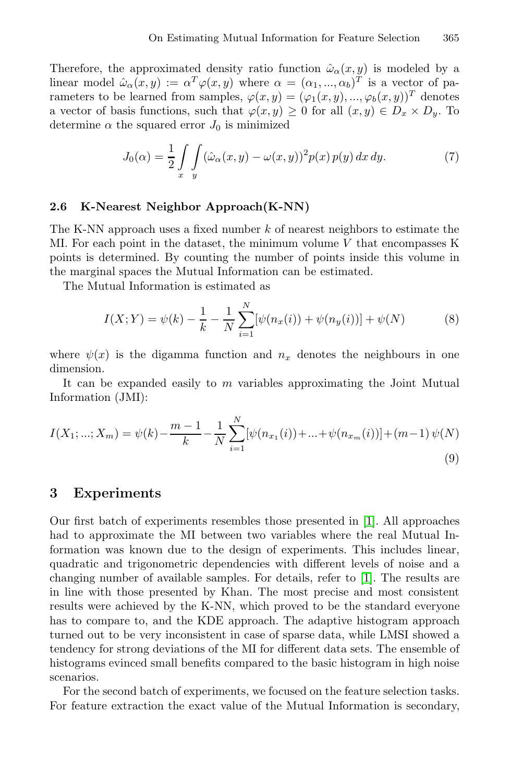Therefore, the approximated density ratio function  $\hat{\omega}_{\alpha}(x, y)$  is modeled by a linear model  $\hat{\omega}_{\alpha}(x, y) := \alpha^T \varphi(x, y)$  where  $\alpha = (\alpha_1, ..., \alpha_b)^T$  is a vector of parameters to be learned from samples,  $\varphi(x, y)=(\varphi_1(x, y), ..., \varphi_b(x, y))^T$  denotes a vector of basis functions, such that  $\varphi(x, y) \geq 0$  for all  $(x, y) \in D_x \times D_y$ . To determine  $\alpha$  the squared error  $J_0$  is minimized

$$
J_0(\alpha) = \frac{1}{2} \int\limits_x \int\limits_y (\hat{\omega}_\alpha(x, y) - \omega(x, y))^2 p(x) p(y) dx dy.
$$
 (7)

#### **2.6 K-Nearest Neighbor Approach(K-NN)**

The K-NN approach uses a fixed number  $k$  of nearest neighbors to estimate the MI. For each point in the dataset, the minimum volume  $V$  that encompasses K points is determined. By counting the number of points inside this volume in the marginal spaces the Mutual Information can be estimated.

The Mutual Information is estimated as

$$
I(X;Y) = \psi(k) - \frac{1}{k} - \frac{1}{N} \sum_{i=1}^{N} [\psi(n_x(i)) + \psi(n_y(i))] + \psi(N)
$$
 (8)

where  $\psi(x)$  is the digamma function and  $n_x$  denotes the neighbours in one dimension.

It can be expanded easily to m variables approximating the Joint Mutual Information (JMI):

$$
I(X_1; ...; X_m) = \psi(k) - \frac{m-1}{k} - \frac{1}{N} \sum_{i=1}^N [\psi(n_{x_1}(i)) + ... + \psi(n_{x_m}(i))] + (m-1)\psi(N)
$$
\n(9)

## **3 Experiments**

Our first batch of experiments resembles those presented in [1]. All approaches had to approximate the MI between two variables where the real Mutual Information was known due to the design of experiments. This includes linear, quadratic and trigonometric dependencies with different levels of noise and a changing number of available samples. For details, refer to [1]. The results are in line with those presented by Khan. The most precise and most consistent results were achieved by the K-NN, which proved to be the standard everyone has to compare to, and the KDE approach. The adaptive histogram approach turned out to be very inconsistent in case of sparse data, while LMSI showed a tendency for strong deviations of the MI for different data sets. The ensemble of histograms evinced small benefits compared to the basic histogram in high noise scenarios.

For the second batch of experiments, we focused on the feature selection tasks. For feature extraction the exact value of the Mutual Information is secondary,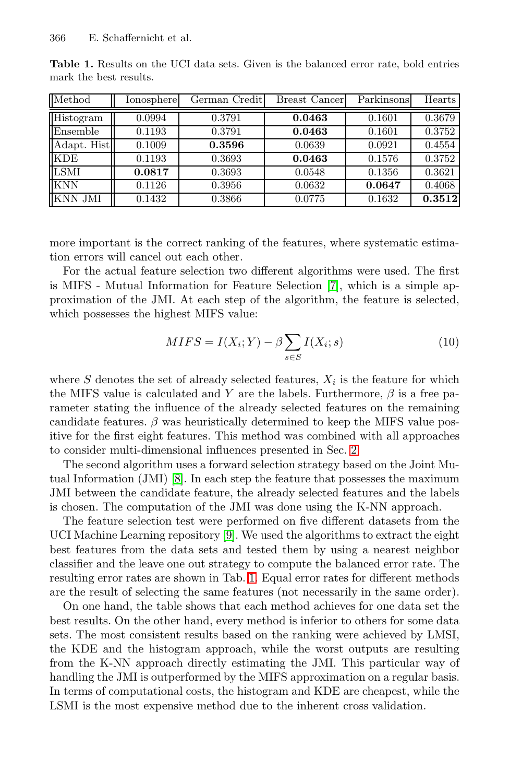#### 366 E. Schaffernicht et al.

**Table 1.** Results on the UCI data sets. Given is the balanced error rate, bold entries mark the best results.

| Method      | Ionosphere | German Credit | Breast Cancer | Parkinsons | Hearts |
|-------------|------------|---------------|---------------|------------|--------|
| Histogram   | 0.0994     | 0.3791        | 0.0463        | 0.1601     | 0.3679 |
| Ensemble    | 0.1193     | 0.3791        | 0.0463        | 0.1601     | 0.3752 |
| Adapt. Hist | 0.1009     | 0.3596        | 0.0639        | 0.0921     | 0.4554 |
| <b>KDE</b>  | 0.1193     | 0.3693        | 0.0463        | 0.1576     | 0.3752 |
| <b>LSMI</b> | 0.0817     | 0.3693        | 0.0548        | 0.1356     | 0.3621 |
| <b>KNN</b>  | 0.1126     | 0.3956        | 0.0632        | 0.0647     | 0.4068 |
| KNN JMI     | 0.1432     | 0.3866        | 0.0775        | 0.1632     | 0.3512 |

more important is the correct ranking of the features, where systematic estimation errors will cancel out each other.

For the actual feature selection two different algorithms were used. The first is MIFS - Mutual Information for Feature Selection [7], which is a simple approximation of the JMI. At each step of the algorithm, the feature is selected, which possesses the highest MIFS value:

$$
MIFS = I(X_i;Y) - \beta \sum_{s \in S} I(X_i;s)
$$
\n<sup>(10)</sup>

where S denotes the set of already selected features,  $X_i$  is the feature for which the MIFS value is calculated and Y are the labels. Furthermore,  $\beta$  is a free parameter stating the influence of the already selected features on the remaining candidate features.  $\beta$  was heuristically determined to keep the MIFS value positive for the first eight features. This method was combined with all approaches to consider multi-dimensional influences presented in Sec. 2.

The second algorithm uses a forward selection strategy based on the Joint Mutual Information (JMI) [8]. In each step the feature that possesses the maximum JMI between the candidate feature, the already selected features and the labels is chosen. The computation of the JMI was done using the K-NN approach.

The feature selection test were performed on five different datasets from the UCI Machine Learning repository [9]. We used the algorithms to extract the eight best features from the data sets and tested them by using a nearest neighbor classifier and the leave one out strategy to compute the balanced error rate. The resulting error rates are shown in Tab. 1. Equal error rates for different methods are the result of selecting the same features (not necessarily in the same order).

On one hand, the table shows that each method achieves for one data set the best results. On the other hand, every method is inferior to others for some data sets. The most consistent results based on the ranking were achieved by LMSI, the KDE and the histogram approach, while the worst outputs are resulting from the K-NN approach directly estimating the JMI. This particular way of handling the JMI is outperformed by the MIFS approximation on a regular basis. In terms of computational costs, the histogram and KDE are cheapest, while the LSMI is the most expensive method due to the inherent cross validation.